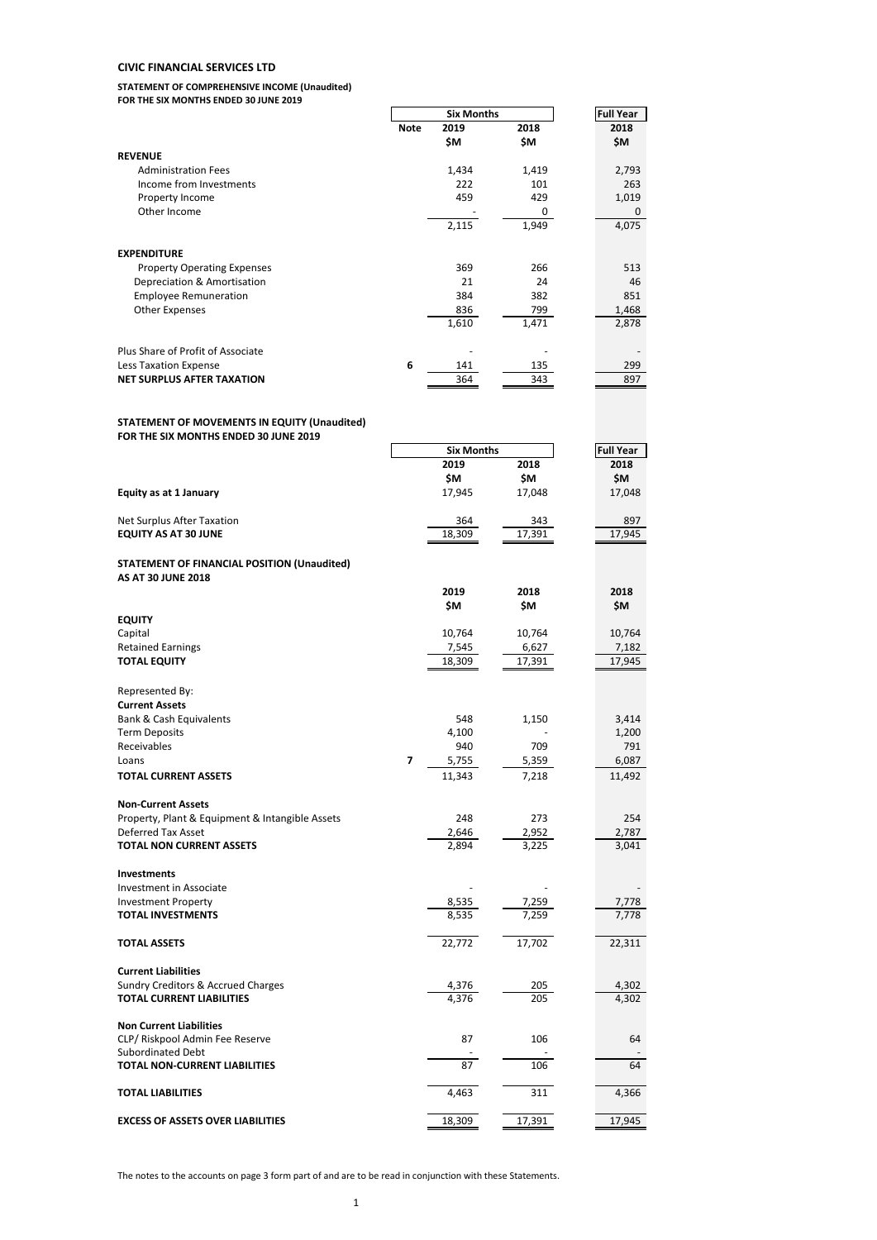## **CIVIC FINANCIAL SERVICES LTD**

#### **STATEMENT OF COMPREHENSIVE INCOME (Unaudited) FOR THE SIX MONTHS ENDED 30 JUNE 2019**

|                                    |             | <b>Six Months</b> |       | <b>Full Year</b> |
|------------------------------------|-------------|-------------------|-------|------------------|
|                                    | <b>Note</b> | 2019              | 2018  | 2018             |
|                                    |             | \$M               | \$M   | \$M              |
| <b>REVENUE</b>                     |             |                   |       |                  |
| <b>Administration Fees</b>         |             | 1,434             | 1,419 | 2,793            |
| Income from Investments            |             | 222               | 101   | 263              |
| Property Income                    |             | 459               | 429   | 1,019            |
| Other Income                       |             |                   | 0     | 0                |
|                                    |             | 2,115             | 1,949 | 4,075            |
| <b>EXPENDITURE</b>                 |             |                   |       |                  |
| <b>Property Operating Expenses</b> |             | 369               | 266   | 513              |
| Depreciation & Amortisation        |             | 21                | 24    | 46               |
| <b>Employee Remuneration</b>       |             | 384               | 382   | 851              |
| <b>Other Expenses</b>              |             | 836               | 799   | 1,468            |
|                                    |             | 1,610             | 1,471 | 2,878            |
| Plus Share of Profit of Associate  |             |                   |       | ٠                |
| <b>Less Taxation Expense</b>       | 6           | 141               | 135   | 299              |
| <b>NET SURPLUS AFTER TAXATION</b>  |             | 364               | 343   | 897              |

 $\overline{\phantom{a}}$ 

#### **STATEMENT OF MOVEMENTS IN EQUITY (Unaudited) FOR THE SIX MONTHS ENDED 30 JUNE 2019**

|                                                 |                          | <b>Six Months</b> |        | <b>Full Year</b> |
|-------------------------------------------------|--------------------------|-------------------|--------|------------------|
|                                                 |                          | 2019              | 2018   | 2018             |
|                                                 |                          | <b>SM</b>         | \$M    | <b>SM</b>        |
| Equity as at 1 January                          |                          | 17,945            | 17,048 | 17,048           |
| Net Surplus After Taxation                      |                          | 364               | 343    | 897              |
| <b>EQUITY AS AT 30 JUNE</b>                     |                          | 18,309            | 17,391 | 17,945           |
| STATEMENT OF FINANCIAL POSITION (Unaudited)     |                          |                   |        |                  |
| <b>AS AT 30 JUNE 2018</b>                       |                          |                   |        |                  |
|                                                 |                          | 2019              | 2018   | 2018             |
|                                                 |                          | \$M               | \$M    | \$M              |
| <b>EQUITY</b>                                   |                          |                   |        |                  |
| Capital                                         |                          | 10,764            | 10,764 | 10,764           |
| <b>Retained Earnings</b>                        |                          | 7,545             | 6,627  | 7,182            |
| <b>TOTAL EQUITY</b>                             |                          | 18,309            | 17,391 | 17,945           |
| Represented By:                                 |                          |                   |        |                  |
| <b>Current Assets</b>                           |                          |                   |        |                  |
| <b>Bank &amp; Cash Equivalents</b>              |                          | 548               | 1,150  | 3,414            |
| <b>Term Deposits</b>                            |                          | 4,100             |        | 1,200            |
| Receivables                                     |                          | 940               | 709    | 791              |
| Loans                                           | $\overline{\phantom{a}}$ | 5,755             | 5,359  | 6,087            |
| <b>TOTAL CURRENT ASSETS</b>                     |                          | 11,343            | 7,218  | 11,492           |
| <b>Non-Current Assets</b>                       |                          |                   |        |                  |
| Property, Plant & Equipment & Intangible Assets |                          | 248               | 273    | 254              |
| Deferred Tax Asset                              |                          | 2,646             | 2,952  | 2,787            |
| <b>TOTAL NON CURRENT ASSETS</b>                 |                          | 2,894             | 3,225  | 3,041            |
| <b>Investments</b>                              |                          |                   |        |                  |
| Investment in Associate                         |                          |                   |        |                  |
| <b>Investment Property</b>                      |                          | 8,535             | 7,259  | 7,778            |
| <b>TOTAL INVESTMENTS</b>                        |                          | 8,535             | 7.259  | 7,778            |
| <b>TOTAL ASSETS</b>                             |                          | 22,772            | 17,702 | 22,311           |
| <b>Current Liabilities</b>                      |                          |                   |        |                  |
| Sundry Creditors & Accrued Charges              |                          | 4,376             | 205    | 4,302            |
| <b>TOTAL CURRENT LIABILITIES</b>                |                          | 4.376             | 205    | 4,302            |
| <b>Non Current Liabilities</b>                  |                          |                   |        |                  |
| CLP/ Riskpool Admin Fee Reserve                 |                          | 87                | 106    | 64               |
| <b>Subordinated Debt</b>                        |                          |                   |        |                  |
| <b>TOTAL NON-CURRENT LIABILITIES</b>            |                          | $\overline{87}$   | 106    | 64               |
| <b>TOTAL LIABILITIES</b>                        |                          | 4,463             | 311    | 4,366            |
| <b>EXCESS OF ASSETS OVER LIABILITIES</b>        |                          | 18,309            | 17,391 | 17,945           |

The notes to the accounts on page 3 form part of and are to be read in conjunction with these Statements.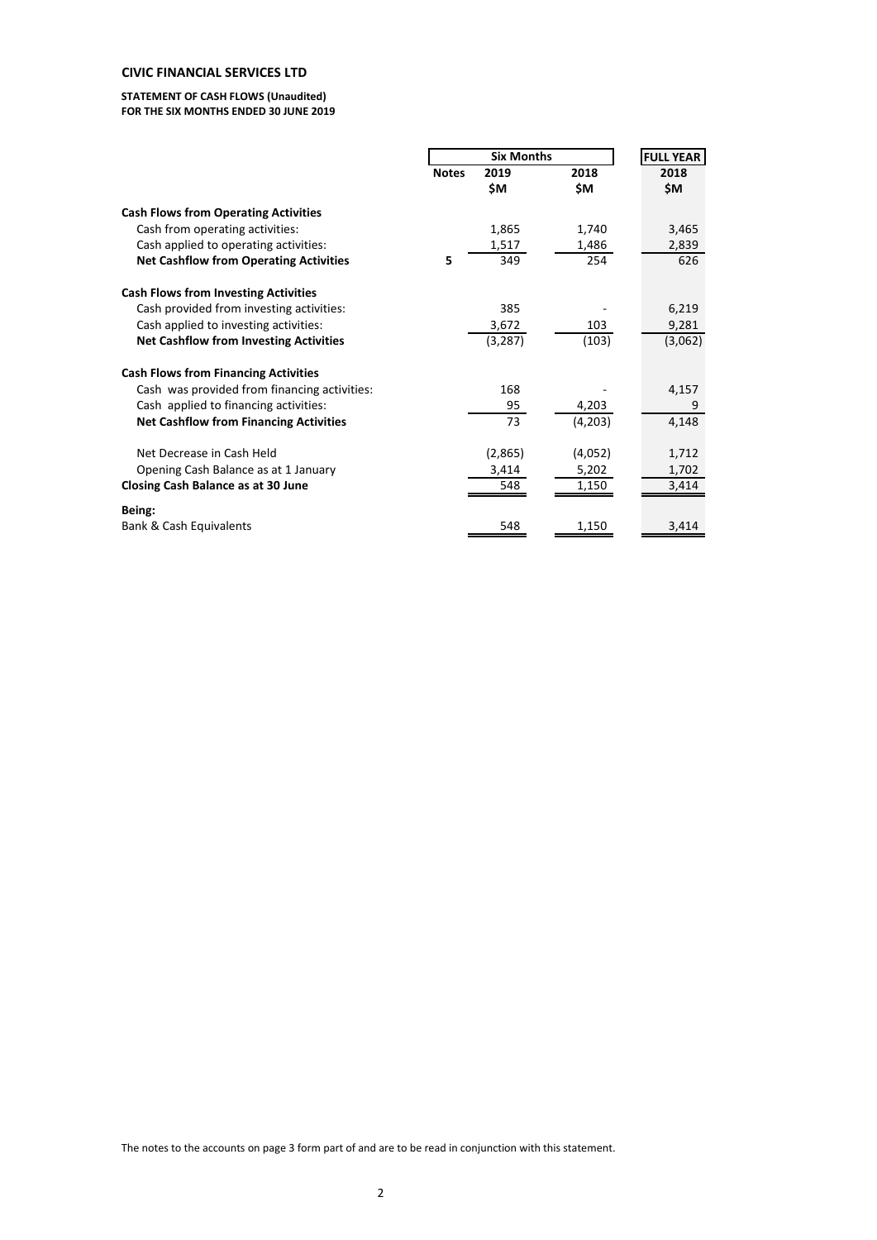# **CIVIC FINANCIAL SERVICES LTD**

#### **STATEMENT OF CASH FLOWS (Unaudited) FOR THE SIX MONTHS ENDED 30 JUNE 2019**

|                                               | <b>Six Months</b> |          |         | <b>FULL YEAR</b> |
|-----------------------------------------------|-------------------|----------|---------|------------------|
|                                               | <b>Notes</b>      | 2019     | 2018    | 2018             |
|                                               |                   | \$M      | \$M     | \$M              |
| <b>Cash Flows from Operating Activities</b>   |                   |          |         |                  |
| Cash from operating activities:               |                   | 1,865    | 1,740   | 3,465            |
| Cash applied to operating activities:         |                   | 1,517    | 1,486   | 2,839            |
| <b>Net Cashflow from Operating Activities</b> | 5                 | 349      | 254     | 626              |
| <b>Cash Flows from Investing Activities</b>   |                   |          |         |                  |
| Cash provided from investing activities:      |                   | 385      |         | 6,219            |
| Cash applied to investing activities:         |                   | 3,672    | 103     | 9,281            |
| <b>Net Cashflow from Investing Activities</b> |                   | (3, 287) | (103)   | (3,062)          |
| <b>Cash Flows from Financing Activities</b>   |                   |          |         |                  |
| Cash was provided from financing activities:  |                   | 168      |         | 4,157            |
| Cash applied to financing activities:         |                   | 95       | 4,203   | 9                |
| <b>Net Cashflow from Financing Activities</b> |                   | 73       | (4,203) | 4,148            |
| Net Decrease in Cash Held                     |                   | (2,865)  | (4,052) | 1,712            |
| Opening Cash Balance as at 1 January          |                   | 3,414    | 5,202   | 1,702            |
| Closing Cash Balance as at 30 June            |                   | 548      | 1,150   | 3,414            |
| Being:                                        |                   |          |         |                  |
| <b>Bank &amp; Cash Equivalents</b>            |                   | 548      | 1,150   | 3,414            |

The notes to the accounts on page 3 form part of and are to be read in conjunction with this statement.